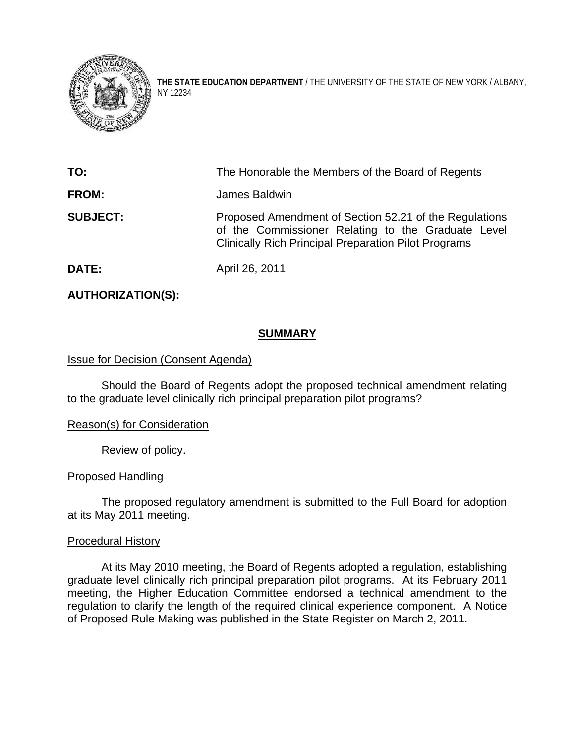

**THE STATE EDUCATION DEPARTMENT** / THE UNIVERSITY OF THE STATE OF NEW YORK / ALBANY, NY 12234

| TO:             | The Honorable the Members of the Board of Regents                                                                                                                           |
|-----------------|-----------------------------------------------------------------------------------------------------------------------------------------------------------------------------|
| FROM:           | James Baldwin                                                                                                                                                               |
| <b>SUBJECT:</b> | Proposed Amendment of Section 52.21 of the Regulations<br>of the Commissioner Relating to the Graduate Level<br><b>Clinically Rich Principal Preparation Pilot Programs</b> |
| <b>DATE:</b>    | April 26, 2011                                                                                                                                                              |

# **AUTHORIZATION(S):**

## **SUMMARY**

## **Issue for Decision (Consent Agenda)**

Should the Board of Regents adopt the proposed technical amendment relating to the graduate level clinically rich principal preparation pilot programs?

### Reason(s) for Consideration

Review of policy.

### Proposed Handling

The proposed regulatory amendment is submitted to the Full Board for adoption at its May 2011 meeting.

### Procedural History

 At its May 2010 meeting, the Board of Regents adopted a regulation, establishing graduate level clinically rich principal preparation pilot programs. At its February 2011 meeting, the Higher Education Committee endorsed a technical amendment to the regulation to clarify the length of the required clinical experience component. A Notice of Proposed Rule Making was published in the State Register on March 2, 2011.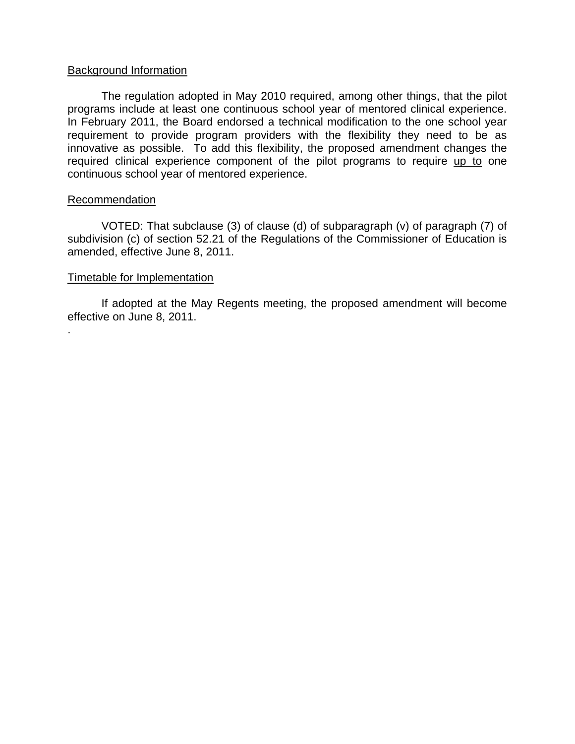### Background Information

The regulation adopted in May 2010 required, among other things, that the pilot programs include at least one continuous school year of mentored clinical experience. In February 2011, the Board endorsed a technical modification to the one school year requirement to provide program providers with the flexibility they need to be as innovative as possible. To add this flexibility, the proposed amendment changes the required clinical experience component of the pilot programs to require up to one continuous school year of mentored experience.

### **Recommendation**

.

VOTED: That subclause (3) of clause (d) of subparagraph (v) of paragraph (7) of subdivision (c) of section 52.21 of the Regulations of the Commissioner of Education is amended, effective June 8, 2011.

#### Timetable for Implementation

 If adopted at the May Regents meeting, the proposed amendment will become effective on June 8, 2011.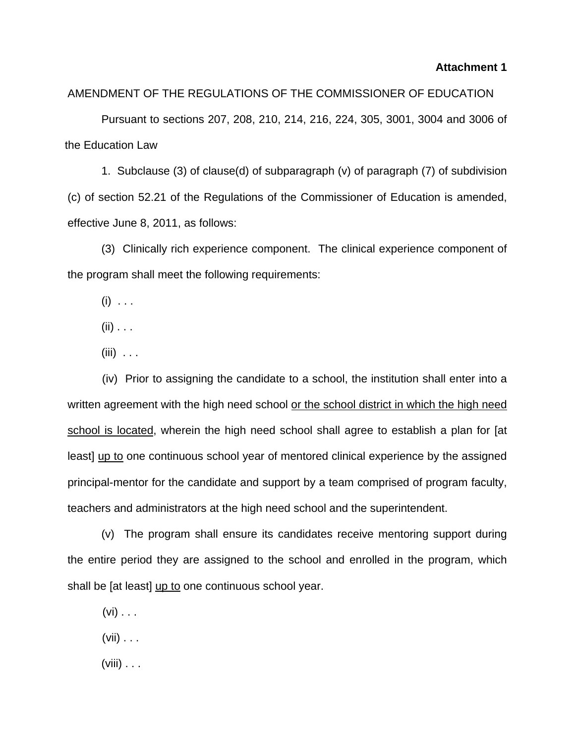#### **Attachment 1**

#### AMENDMENT OF THE REGULATIONS OF THE COMMISSIONER OF EDUCATION

Pursuant to sections 207, 208, 210, 214, 216, 224, 305, 3001, 3004 and 3006 of the Education Law

 1. Subclause (3) of clause(d) of subparagraph (v) of paragraph (7) of subdivision (c) of section 52.21 of the Regulations of the Commissioner of Education is amended, effective June 8, 2011, as follows:

(3) Clinically rich experience component. The clinical experience component of the program shall meet the following requirements:

 $(i) \ldots$ 

 $(ii)$  . . .

 $(iii)$  . . .

 (iv) Prior to assigning the candidate to a school, the institution shall enter into a written agreement with the high need school or the school district in which the high need school is located, wherein the high need school shall agree to establish a plan for [at least] up to one continuous school year of mentored clinical experience by the assigned principal-mentor for the candidate and support by a team comprised of program faculty, teachers and administrators at the high need school and the superintendent.

(v) The program shall ensure its candidates receive mentoring support during the entire period they are assigned to the school and enrolled in the program, which shall be [at least] up to one continuous school year.

 $(vi)$  . . .

 $(vii) \ldots$ 

(viii)  $\ldots$